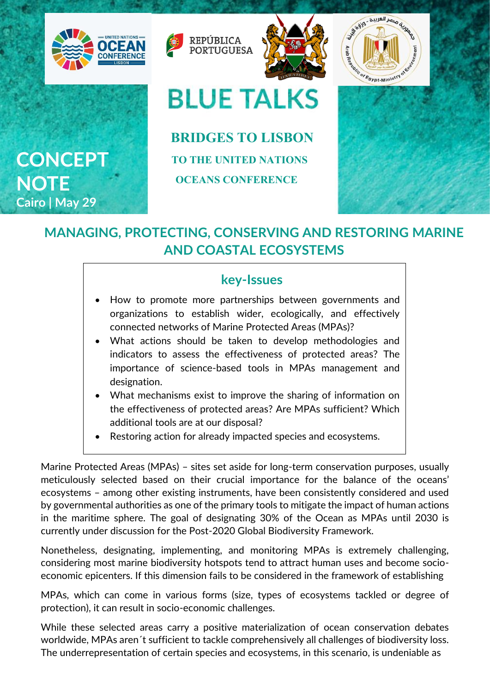



## **BLUE TALKS**

 **BRIDGES TO LISBON TO THE UNITED NATIONS OCEANS CONFERENCE**





## **MANAGING, PROTECTING, CONSERVING AND RESTORING MARINE AND COASTAL ECOSYSTEMS**

## **key-Issues**

- How to promote more partnerships between governments and organizations to establish wider, ecologically, and effectively connected networks of Marine Protected Areas (MPAs)?
- What actions should be taken to develop methodologies and indicators to assess the effectiveness of protected areas? The importance of science-based tools in MPAs management and designation.
- What mechanisms exist to improve the sharing of information on the effectiveness of protected areas? Are MPAs sufficient? Which additional tools are at our disposal?
- Restoring action for already impacted species and ecosystems.

Marine Protected Areas (MPAs) – sites set aside for long-term conservation purposes, usually meticulously selected based on their crucial importance for the balance of the oceans' ecosystems – among other existing instruments, have been consistently considered and used by governmental authorities as one of the primary tools to mitigate the impact of human actions in the maritime sphere. The goal of designating 30% of the Ocean as MPAs until 2030 is currently under discussion for the Post-2020 Global Biodiversity Framework.

Nonetheless, designating, implementing, and monitoring MPAs is extremely challenging, considering most marine biodiversity hotspots tend to attract human uses and become socioeconomic epicenters. If this dimension fails to be considered in the framework of establishing

MPAs, which can come in various forms (size, types of ecosystems tackled or degree of protection), it can result in socio-economic challenges.

While these selected areas carry a positive materialization of ocean conservation debates worldwide, MPAs aren´t sufficient to tackle comprehensively all challenges of biodiversity loss. The underrepresentation of certain species and ecosystems, in this scenario, is undeniable as

**CONCEPT NOTE Cairo | May 29**